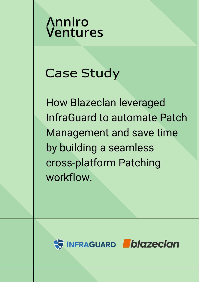## **Anniro Ventures**

# Case Study

How Blazeclan leveraged InfraGuard to automate Patch Management and save time by building a seamless cross-platform Patching workflow.

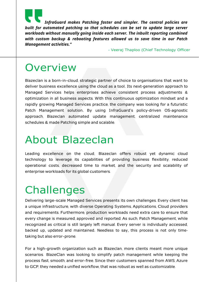*InfraGuard makes Patching faster and simpler. The central policies are built for automated patching so that schedules can be set to update large server workloads without manually going inside each server. The inbuilt reporting combined with custom backup & rebooting features allowed us to save time in our Patch Management activities."*

- Veeraj Thaploo (Chief Technology Officer

#### **Overview**

Blazeclan is <sup>a</sup> born-in-cloud, strategic partner of choice to organisations that want to deliver business excellence using the cloud as a tool. Its next-generation approach to Managed Services helps enterprises achieve consistent process adjustments & optimization in all business aspects. With this continuous optimization mindset and a rapidly growing Managed Services practice, the company was looking for a futuristic Patch Management solution. By using InfraGuard's policy-driven OS-agnostic approach, Blazeclan automated update management, centralized maintenance schedules & made Patching simple and scalable.

#### About Blazeclan

Leading excellence on the cloud, Blazeclan offers robust yet dynamic cloud technology to leverage its capabilities of providing business flexibility, reduced operational costs, decreased time to market, and the security and scalability of enterprise workloads for its global customers.

### **Challenges**

Delivering large-scale Managed Services presents its own challenges. Every client has a unique infrastructure, with diverse Operating Systems, Applications, Cloud providers and requirements. Furthermore, production workloads need extra care to ensure that every change is measured, approved and reported. As such, Patch Management, while recognized as critical is still largely left manual. Every server is individually accessed, backed up, updated and maintained. Needless to say, this process is not only timetaking but also error-prone.

For <sup>a</sup> high-growth organization such as Blazeclan, more clients meant more unique scenarios. BlazeClan was looking to simplify patch management while keeping the process fast, smooth, and error-free. Since their customers spanned from AWS, Azure to GCP, they needed a unified workflow, that was robust as well as customizable.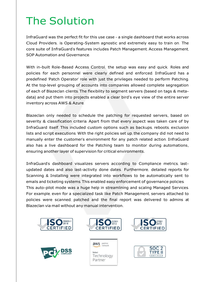## The Solution

InfraGuard was the perfect fit for this use case - a single dashboard that works across Cloud Providers, is Operating-System agnostic and extremely easy to train on. The core suite of InfraGuard's features includes Patch Management, Access Management, SOP Automation and Governance.

With in-built Role-Based Access Control, the setup was easy and quick. Roles and policies for each personnel were clearly defined and enforced. InfraGuard has a predefined 'Patch Operator' role with just the privileges needed to perform Patching. At the top-level grouping of accounts into companies allowed complete segregation of each of Blazeclan clients. The flexibility to segment servers (based on tags & metadata) and put them into projects enabled a clear bird's eye view of the entire server inventory across AWS & Azure.

Blazeclan only needed to schedule the patching for requested servers, based on severity & classification criteria. Apart from that every aspect was taken care of by InfraGuard itself. This included custom options such as backups, reboots, exclusion lists and script executions. With the right policies set up, the company did not need to manually enter the customer's environment for any patch related action. InfraGuard also has a live dashboard for the Patching team to monitor during automations, ensuring another layer of supervision for critical environments.

InfraGuard's dashboard visualizes servers according to Compliance metrics, lastupdated dates and also last-activity done dates. Furthermore, detailed reports for Scanning & Installing were integrated into workflows to be automatically sent to emails and ticketing systems. This enabled easy enforcement of governance policies. This auto-pilot mode was <sup>a</sup> huge help in streamlining and scaling Managed Services. For example, even for a specialized task like Patch Management, servers attached to policies were scanned, patched and the final report was delivered to admins at Blazeclan via mail without any manual intervention.